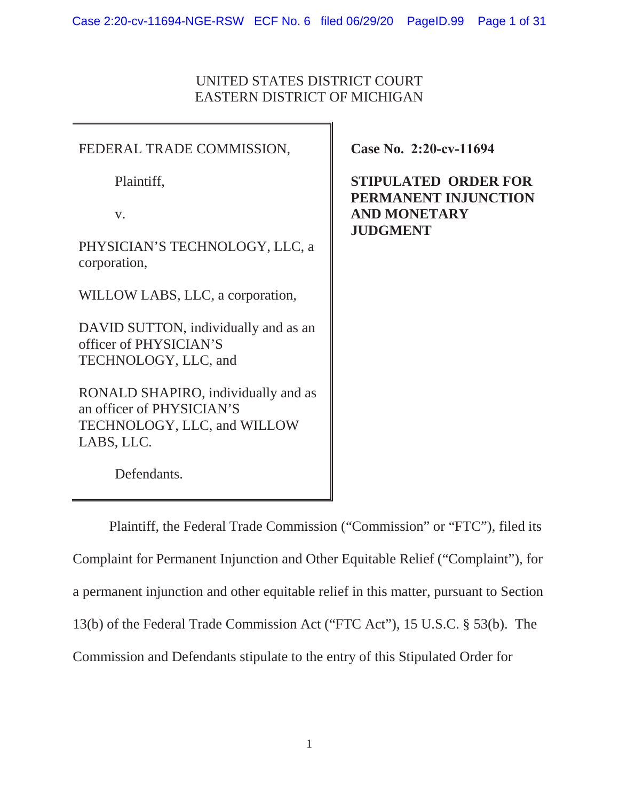# UNITED STATES DISTRICT COURT EASTERN DISTRICT OF MICHIGAN

FEDERAL TRADE COMMISSION, Plaintiff, v. PHYSICIAN'S TECHNOLOGY, LLC, a corporation, WILLOW LABS, LLC, a corporation, DAVID SUTTON, individually and as an officer of PHYSICIAN'S TECHNOLOGY, LLC, and RONALD SHAPIRO, individually and as an officer of PHYSICIAN'S TECHNOLOGY, LLC, and WILLOW LABS, LLC.

**Case No. 2:20-cv-11694** 

**STIPULATED ORDER FOR PERMANENT INJUNCTION AND MONETARY JUDGMENT** 

Defendants.

Plaintiff, the Federal Trade Commission ("Commission" or "FTC"), filed its Complaint for Permanent Injunction and Other Equitable Relief ("Complaint"), for a permanent injunction and other equitable relief in this matter, pursuant to Section 13(b) of the Federal Trade Commission Act ("FTC Act"), 15 U.S.C. § 53(b). The Commission and Defendants stipulate to the entry of this Stipulated Order for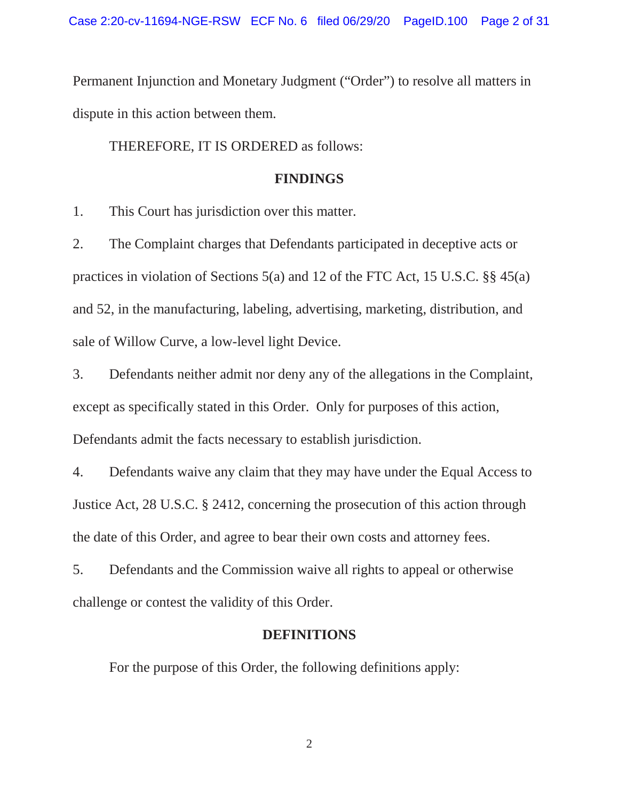Permanent Injunction and Monetary Judgment ("Order") to resolve all matters in dispute in this action between them.

# THEREFORE, IT IS ORDERED as follows:

#### **FINDINGS**

1. This Court has jurisdiction over this matter.

2. The Complaint charges that Defendants participated in deceptive acts or practices in violation of Sections 5(a) and 12 of the FTC Act, 15 U.S.C. §§ 45(a) and 52, in the manufacturing, labeling, advertising, marketing, distribution, and sale of Willow Curve, a low-level light Device.

3. Defendants neither admit nor deny any of the allegations in the Complaint, except as specifically stated in this Order. Only for purposes of this action, Defendants admit the facts necessary to establish jurisdiction.

4. Defendants waive any claim that they may have under the Equal Access to Justice Act, 28 U.S.C. § 2412, concerning the prosecution of this action through the date of this Order, and agree to bear their own costs and attorney fees.

5. Defendants and the Commission waive all rights to appeal or otherwise challenge or contest the validity of this Order.

#### **DEFINITIONS**

For the purpose of this Order, the following definitions apply: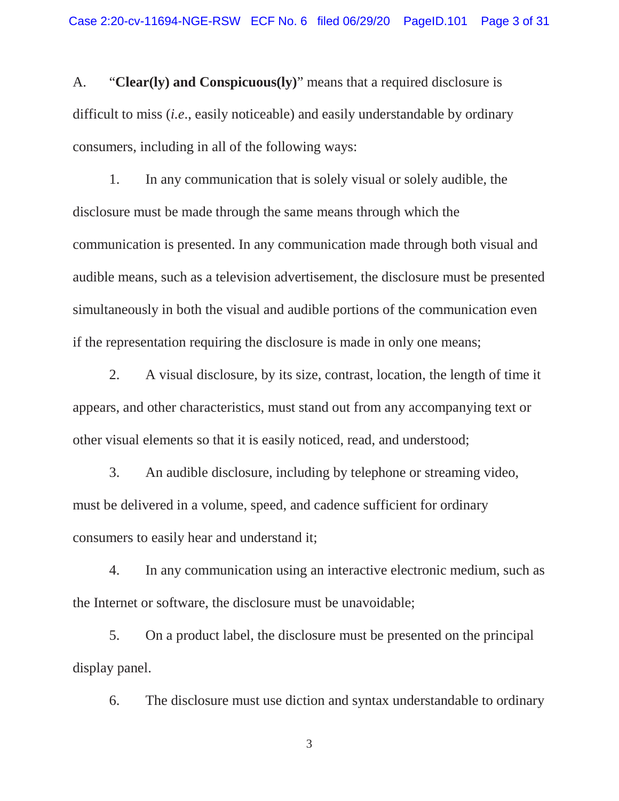A. "**Clear(ly) and Conspicuous(ly)**" means that a required disclosure is difficult to miss (*i.e*., easily noticeable) and easily understandable by ordinary consumers, including in all of the following ways:

1. In any communication that is solely visual or solely audible, the disclosure must be made through the same means through which the communication is presented. In any communication made through both visual and audible means, such as a television advertisement, the disclosure must be presented simultaneously in both the visual and audible portions of the communication even if the representation requiring the disclosure is made in only one means;

2. A visual disclosure, by its size, contrast, location, the length of time it appears, and other characteristics, must stand out from any accompanying text or other visual elements so that it is easily noticed, read, and understood;

3. An audible disclosure, including by telephone or streaming video, must be delivered in a volume, speed, and cadence sufficient for ordinary consumers to easily hear and understand it;

4. In any communication using an interactive electronic medium, such as the Internet or software, the disclosure must be unavoidable;

5. On a product label, the disclosure must be presented on the principal display panel.

6. The disclosure must use diction and syntax understandable to ordinary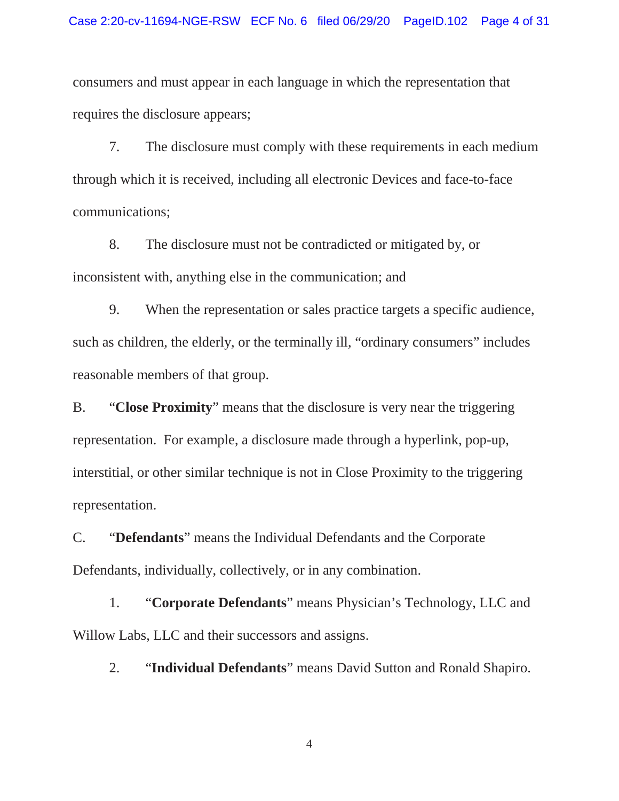consumers and must appear in each language in which the representation that requires the disclosure appears;

7. The disclosure must comply with these requirements in each medium through which it is received, including all electronic Devices and face-to-face communications;

8. The disclosure must not be contradicted or mitigated by, or inconsistent with, anything else in the communication; and

9. When the representation or sales practice targets a specific audience, such as children, the elderly, or the terminally ill, "ordinary consumers" includes reasonable members of that group.

B. "**Close Proximity**" means that the disclosure is very near the triggering representation. For example, a disclosure made through a hyperlink, pop-up, interstitial, or other similar technique is not in Close Proximity to the triggering representation.

C. "**Defendants**" means the Individual Defendants and the Corporate Defendants, individually, collectively, or in any combination.

1. "**Corporate Defendants**" means Physician's Technology, LLC and Willow Labs, LLC and their successors and assigns.

2. "**Individual Defendants**" means David Sutton and Ronald Shapiro.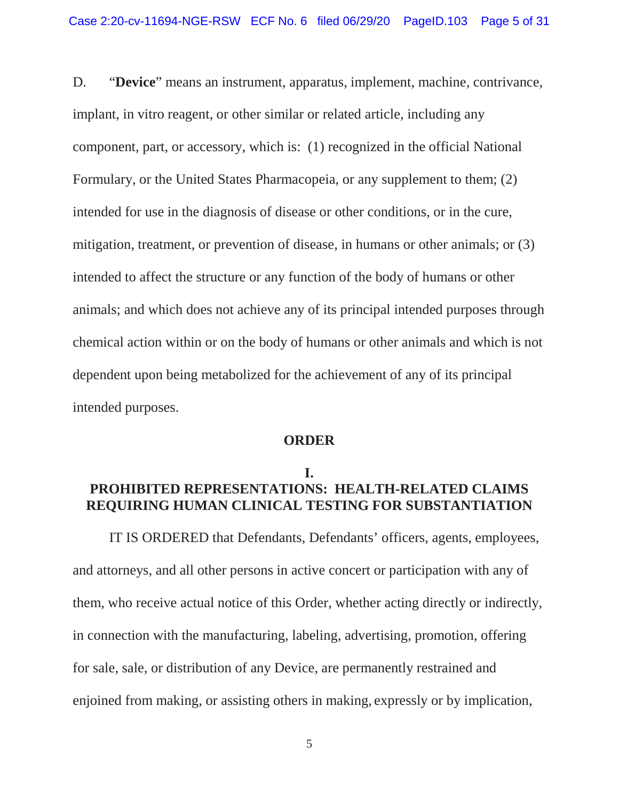D. "**Device**" means an instrument, apparatus, implement, machine, contrivance, chemical action within or on the body of humans or other animals and which is not implant, in vitro reagent, or other similar or related article, including any component, part, or accessory, which is: (1) recognized in the official National Formulary, or the United States Pharmacopeia, or any supplement to them; (2) intended for use in the diagnosis of disease or other conditions, or in the cure, mitigation, treatment, or prevention of disease, in humans or other animals; or (3) intended to affect the structure or any function of the body of humans or other animals; and which does not achieve any of its principal intended purposes through dependent upon being metabolized for the achievement of any of its principal intended purposes.

#### **ORDER**

# **I. PROHIBITED REPRESENTATIONS: HEALTH-RELATED CLAIMS REQUIRING HUMAN CLINICAL TESTING FOR SUBSTANTIATION**

 in connection with the manufacturing, labeling, advertising, promotion, offering IT IS ORDERED that Defendants, Defendants' officers, agents, employees, and attorneys, and all other persons in active concert or participation with any of them, who receive actual notice of this Order, whether acting directly or indirectly, for sale, sale, or distribution of any Device, are permanently restrained and enjoined from making, or assisting others in making, expressly or by implication,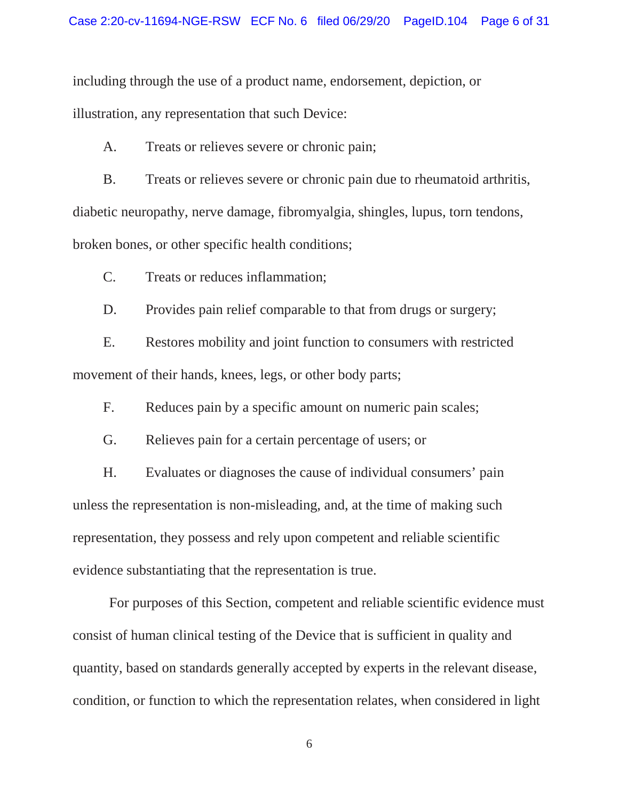including through the use of a product name, endorsement, depiction, or illustration, any representation that such Device:

A. Treats or relieves severe or chronic pain;

 B. Treats or relieves severe or chronic pain due to rheumatoid arthritis, diabetic neuropathy, nerve damage, fibromyalgia, shingles, lupus, torn tendons, broken bones, or other specific health conditions;

C. Treats or reduces inflammation;

D. Provides pain relief comparable to that from drugs or surgery;

E. Restores mobility and joint function to consumers with restricted movement of their hands, knees, legs, or other body parts;

F. Reduces pain by a specific amount on numeric pain scales;

G. Relieves pain for a certain percentage of users; or

 evidence substantiating that the representation is true. H. Evaluates or diagnoses the cause of individual consumers' pain unless the representation is non-misleading, and, at the time of making such representation, they possess and rely upon competent and reliable scientific

 consist of human clinical testing of the Device that is sufficient in quality and For purposes of this Section, competent and reliable scientific evidence must quantity, based on standards generally accepted by experts in the relevant disease, condition, or function to which the representation relates, when considered in light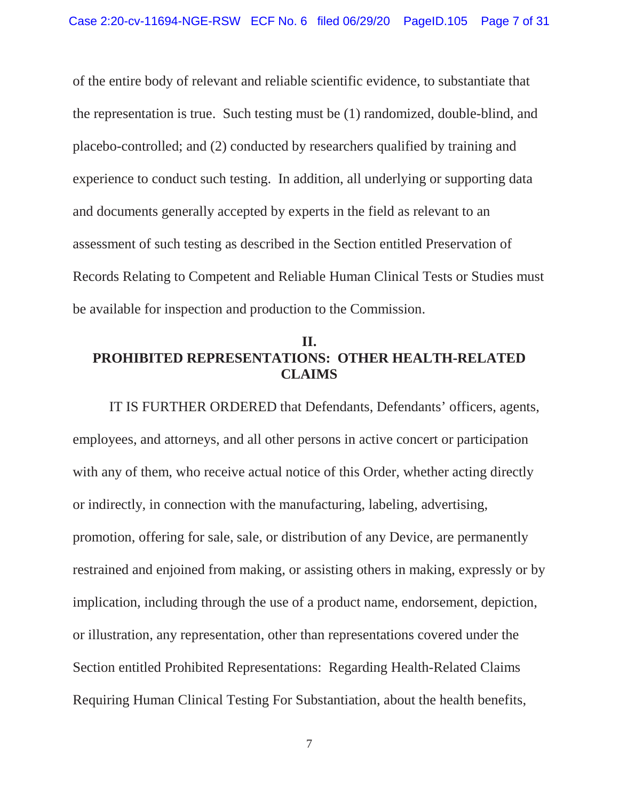experience to conduct such testing. In addition, all underlying or supporting data Records Relating to Competent and Reliable Human Clinical Tests or Studies must of the entire body of relevant and reliable scientific evidence, to substantiate that the representation is true. Such testing must be (1) randomized, double-blind, and placebo-controlled; and (2) conducted by researchers qualified by training and and documents generally accepted by experts in the field as relevant to an assessment of such testing as described in the Section entitled Preservation of be available for inspection and production to the Commission.

# **II. PROHIBITED REPRESENTATIONS: OTHER HEALTH-RELATED CLAIMS**

 with any of them, who receive actual notice of this Order, whether acting directly IT IS FURTHER ORDERED that Defendants, Defendants' officers, agents, employees, and attorneys, and all other persons in active concert or participation or indirectly, in connection with the manufacturing, labeling, advertising, promotion, offering for sale, sale, or distribution of any Device, are permanently restrained and enjoined from making, or assisting others in making, expressly or by implication, including through the use of a product name, endorsement, depiction, or illustration, any representation, other than representations covered under the Section entitled Prohibited Representations: Regarding Health-Related Claims Requiring Human Clinical Testing For Substantiation, about the health benefits,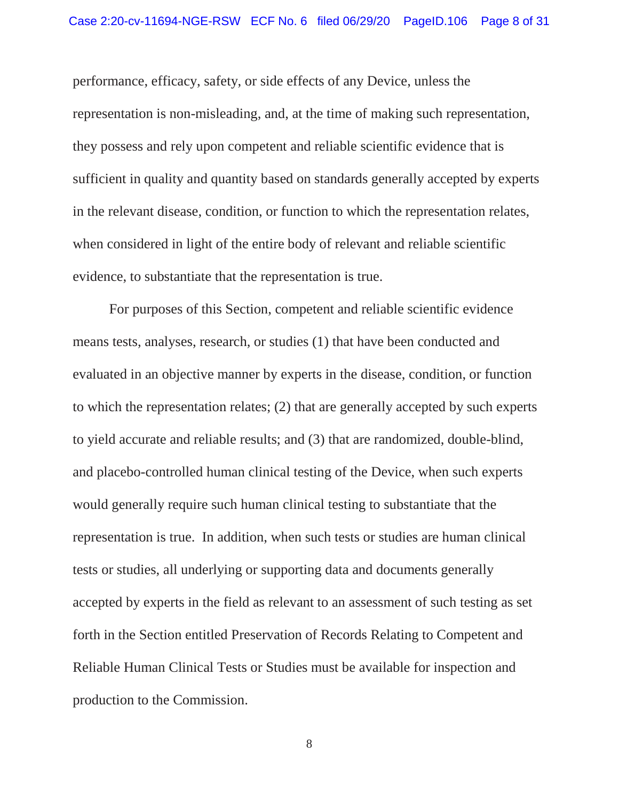performance, efficacy, safety, or side effects of any Device, unless the representation is non-misleading, and, at the time of making such representation, they possess and rely upon competent and reliable scientific evidence that is sufficient in quality and quantity based on standards generally accepted by experts in the relevant disease, condition, or function to which the representation relates, when considered in light of the entire body of relevant and reliable scientific evidence, to substantiate that the representation is true.

 evaluated in an objective manner by experts in the disease, condition, or function and placebo-controlled human clinical testing of the Device, when such experts representation is true. In addition, when such tests or studies are human clinical production to the Commission.<br>8 For purposes of this Section, competent and reliable scientific evidence means tests, analyses, research, or studies (1) that have been conducted and to which the representation relates; (2) that are generally accepted by such experts to yield accurate and reliable results; and (3) that are randomized, double-blind, would generally require such human clinical testing to substantiate that the tests or studies, all underlying or supporting data and documents generally accepted by experts in the field as relevant to an assessment of such testing as set forth in the Section entitled Preservation of Records Relating to Competent and Reliable Human Clinical Tests or Studies must be available for inspection and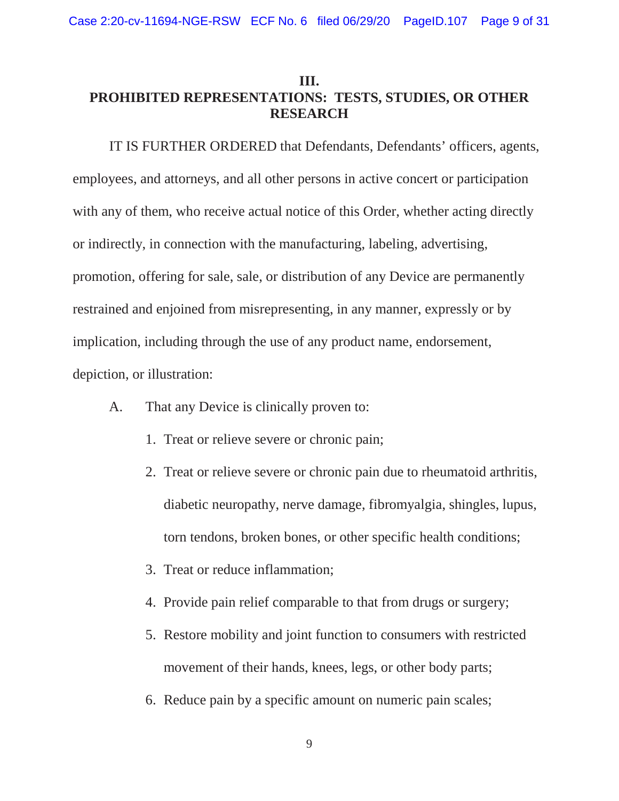# **III. PROHIBITED REPRESENTATIONS: TESTS, STUDIES, OR OTHER RESEARCH**

IT IS FURTHER ORDERED that Defendants, Defendants' officers, agents, employees, and attorneys, and all other persons in active concert or participation with any of them, who receive actual notice of this Order, whether acting directly or indirectly, in connection with the manufacturing, labeling, advertising, promotion, offering for sale, sale, or distribution of any Device are permanently restrained and enjoined from misrepresenting, in any manner, expressly or by implication, including through the use of any product name, endorsement, depiction, or illustration:

- A. That any Device is clinically proven to:
	- 1. Treat or relieve severe or chronic pain;
	- 2. Treat or relieve severe or chronic pain due to rheumatoid arthritis, diabetic neuropathy, nerve damage, fibromyalgia, shingles, lupus, torn tendons, broken bones, or other specific health conditions;
	- 3. Treat or reduce inflammation;
	- 4. Provide pain relief comparable to that from drugs or surgery;
	- 5. Restore mobility and joint function to consumers with restricted movement of their hands, knees, legs, or other body parts;
	- 6. Reduce pain by a specific amount on numeric pain scales;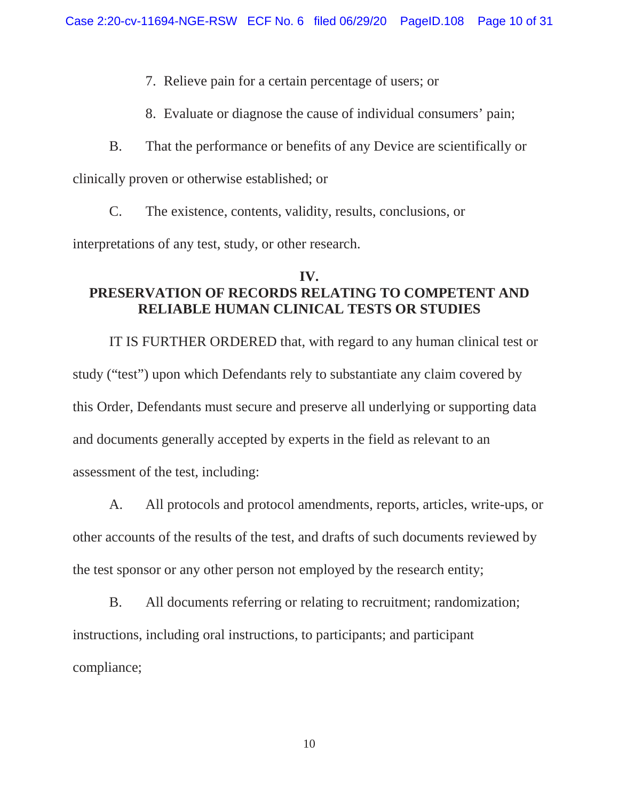7. Relieve pain for a certain percentage of users; or

8. Evaluate or diagnose the cause of individual consumers' pain;

B. That the performance or benefits of any Device are scientifically or clinically proven or otherwise established; or

C. The existence, contents, validity, results, conclusions, or

interpretations of any test, study, or other research.

# **IV. PRESERVATION OF RECORDS RELATING TO COMPETENT AND RELIABLE HUMAN CLINICAL TESTS OR STUDIES**

IT IS FURTHER ORDERED that, with regard to any human clinical test or study ("test") upon which Defendants rely to substantiate any claim covered by this Order, Defendants must secure and preserve all underlying or supporting data and documents generally accepted by experts in the field as relevant to an assessment of the test, including:

A. All protocols and protocol amendments, reports, articles, write-ups, or other accounts of the results of the test, and drafts of such documents reviewed by the test sponsor or any other person not employed by the research entity;

B. All documents referring or relating to recruitment; randomization; instructions, including oral instructions, to participants; and participant compliance;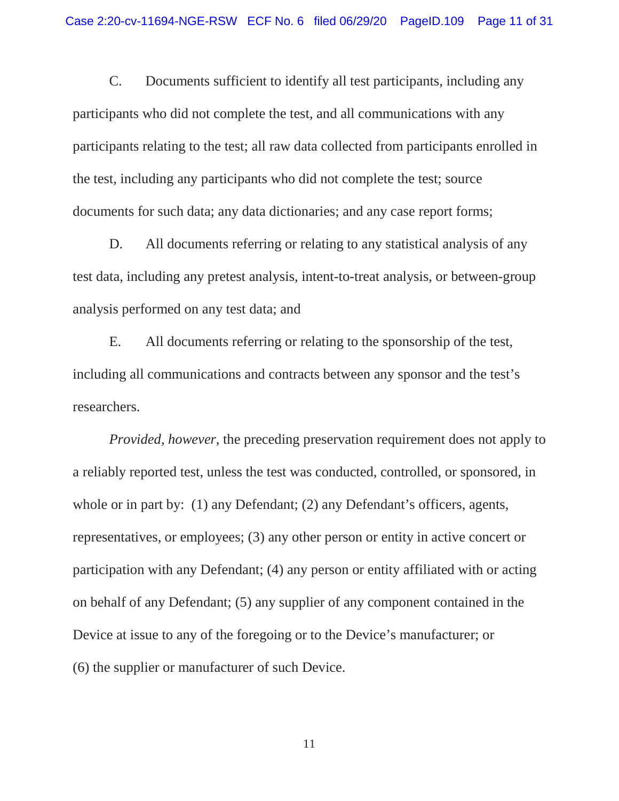C. Documents sufficient to identify all test participants, including any participants who did not complete the test, and all communications with any participants relating to the test; all raw data collected from participants enrolled in the test, including any participants who did not complete the test; source documents for such data; any data dictionaries; and any case report forms;

D. All documents referring or relating to any statistical analysis of any test data, including any pretest analysis, intent-to-treat analysis, or between-group analysis performed on any test data; and

E. All documents referring or relating to the sponsorship of the test, including all communications and contracts between any sponsor and the test's researchers.

*Provided, however*, the preceding preservation requirement does not apply to a reliably reported test, unless the test was conducted, controlled, or sponsored, in whole or in part by: (1) any Defendant; (2) any Defendant's officers, agents, representatives, or employees; (3) any other person or entity in active concert or participation with any Defendant; (4) any person or entity affiliated with or acting on behalf of any Defendant; (5) any supplier of any component contained in the Device at issue to any of the foregoing or to the Device's manufacturer; or (6) the supplier or manufacturer of such Device.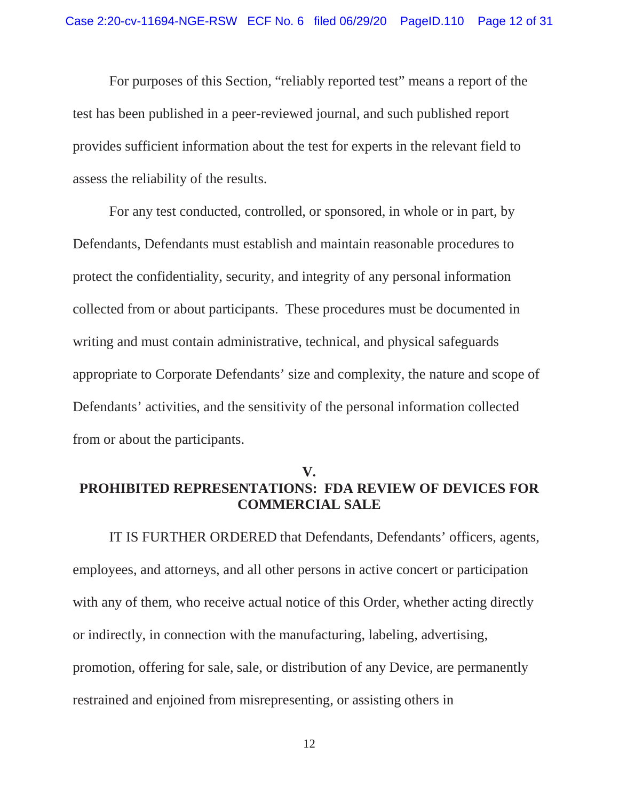For purposes of this Section, "reliably reported test" means a report of the test has been published in a peer-reviewed journal, and such published report provides sufficient information about the test for experts in the relevant field to assess the reliability of the results.

 Defendants, Defendants must establish and maintain reasonable procedures to For any test conducted, controlled, or sponsored, in whole or in part, by protect the confidentiality, security, and integrity of any personal information collected from or about participants. These procedures must be documented in writing and must contain administrative, technical, and physical safeguards appropriate to Corporate Defendants' size and complexity, the nature and scope of Defendants' activities, and the sensitivity of the personal information collected from or about the participants.

# **V. PROHIBITED REPRESENTATIONS: FDA REVIEW OF DEVICES FOR COMMERCIAL SALE**

 with any of them, who receive actual notice of this Order, whether acting directly IT IS FURTHER ORDERED that Defendants, Defendants' officers, agents, employees, and attorneys, and all other persons in active concert or participation or indirectly, in connection with the manufacturing, labeling, advertising, promotion, offering for sale, sale, or distribution of any Device, are permanently restrained and enjoined from misrepresenting, or assisting others in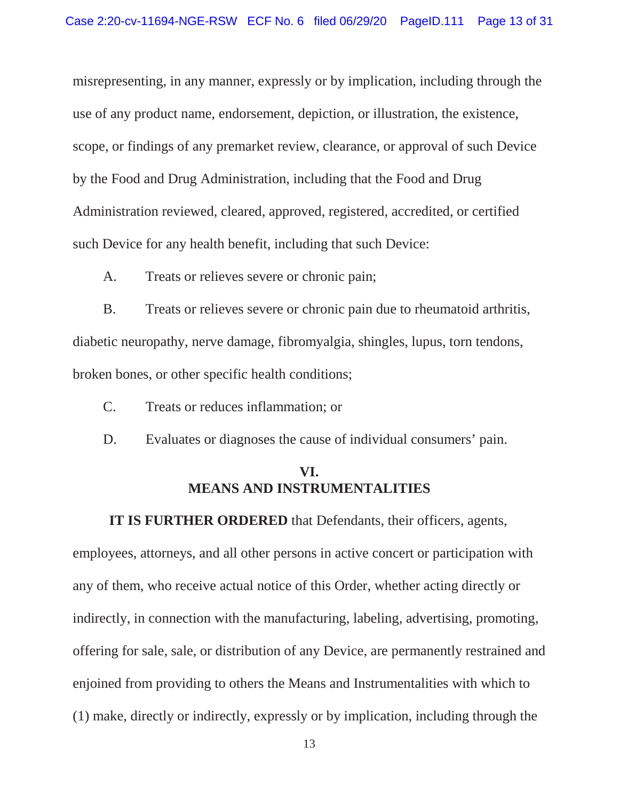by the Food and Drug Administration, including that the Food and Drug such Device for any health benefit, including that such Device: misrepresenting, in any manner, expressly or by implication, including through the use of any product name, endorsement, depiction, or illustration, the existence, scope, or findings of any premarket review, clearance, or approval of such Device Administration reviewed, cleared, approved, registered, accredited, or certified

A. Treats or relieves severe or chronic pain;

 B. Treats or relieves severe or chronic pain due to rheumatoid arthritis, diabetic neuropathy, nerve damage, fibromyalgia, shingles, lupus, torn tendons, broken bones, or other specific health conditions;

- C. Treats or reduces inflammation; or
- D. Evaluates or diagnoses the cause of individual consumers' pain.

#### **VI. MEANS AND INSTRUMENTALITIES**

**IT IS FURTHER ORDERED** that Defendants, their officers, agents,

employees, attorneys, and all other persons in active concert or participation with any of them, who receive actual notice of this Order, whether acting directly or indirectly, in connection with the manufacturing, labeling, advertising, promoting, offering for sale, sale, or distribution of any Device, are permanently restrained and enjoined from providing to others the Means and Instrumentalities with which to (1) make, directly or indirectly, expressly or by implication, including through the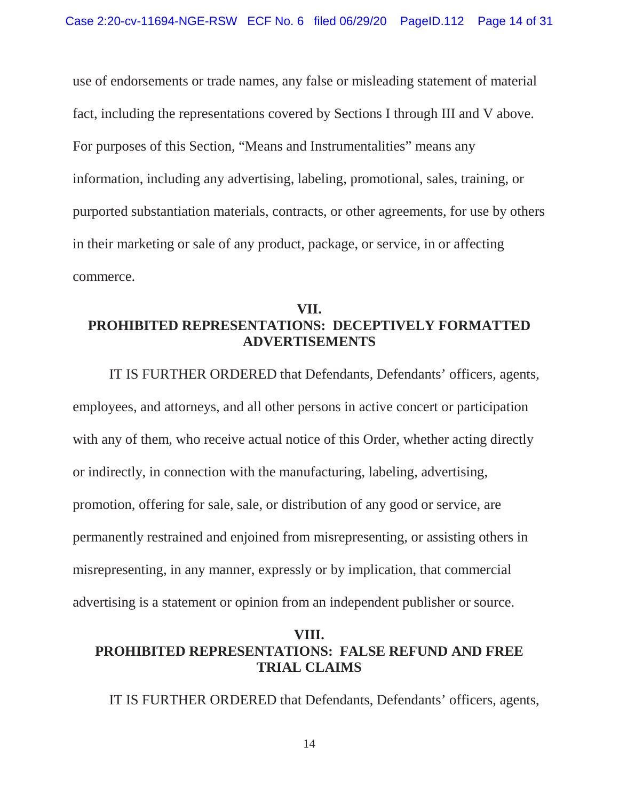information, including any advertising, labeling, promotional, sales, training, or use of endorsements or trade names, any false or misleading statement of material fact, including the representations covered by Sections I through III and V above. For purposes of this Section, "Means and Instrumentalities" means any purported substantiation materials, contracts, or other agreements, for use by others in their marketing or sale of any product, package, or service, in or affecting commerce.

# **VII. PROHIBITED REPRESENTATIONS: DECEPTIVELY FORMATTED ADVERTISEMENTS**

 with any of them, who receive actual notice of this Order, whether acting directly advertising is a statement or opinion from an independent publisher or source. IT IS FURTHER ORDERED that Defendants, Defendants' officers, agents, employees, and attorneys, and all other persons in active concert or participation or indirectly, in connection with the manufacturing, labeling, advertising, promotion, offering for sale, sale, or distribution of any good or service, are permanently restrained and enjoined from misrepresenting, or assisting others in misrepresenting, in any manner, expressly or by implication, that commercial

# **VIII. PROHIBITED REPRESENTATIONS: FALSE REFUND AND FREE TRIAL CLAIMS**

IT IS FURTHER ORDERED that Defendants, Defendants' officers, agents,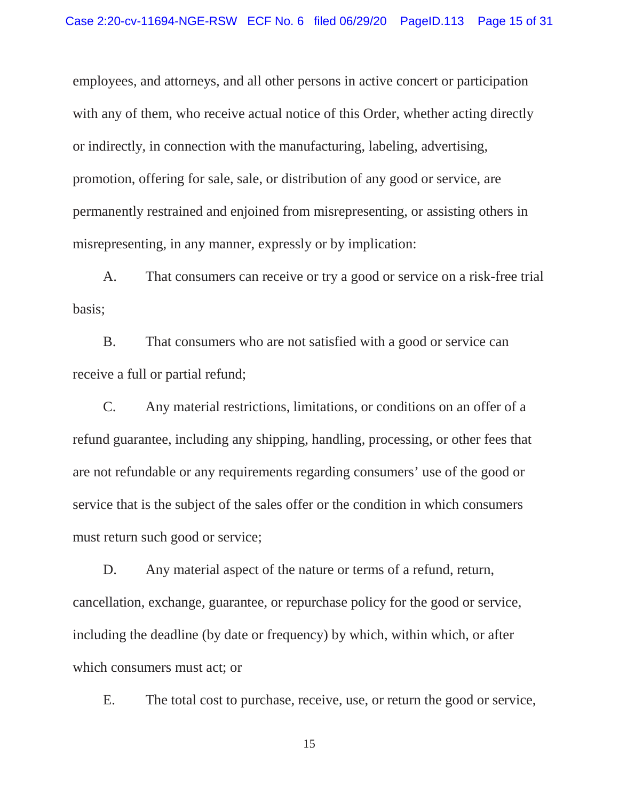with any of them, who receive actual notice of this Order, whether acting directly employees, and attorneys, and all other persons in active concert or participation or indirectly, in connection with the manufacturing, labeling, advertising, promotion, offering for sale, sale, or distribution of any good or service, are permanently restrained and enjoined from misrepresenting, or assisting others in misrepresenting, in any manner, expressly or by implication:

A. That consumers can receive or try a good or service on a risk-free trial basis;

 B. That consumers who are not satisfied with a good or service can receive a full or partial refund;

 are not refundable or any requirements regarding consumers' use of the good or C. Any material restrictions, limitations, or conditions on an offer of a refund guarantee, including any shipping, handling, processing, or other fees that service that is the subject of the sales offer or the condition in which consumers must return such good or service;

D. Any material aspect of the nature or terms of a refund, return, cancellation, exchange, guarantee, or repurchase policy for the good or service, including the deadline (by date or frequency) by which, within which, or after which consumers must act; or

E. The total cost to purchase, receive, use, or return the good or service,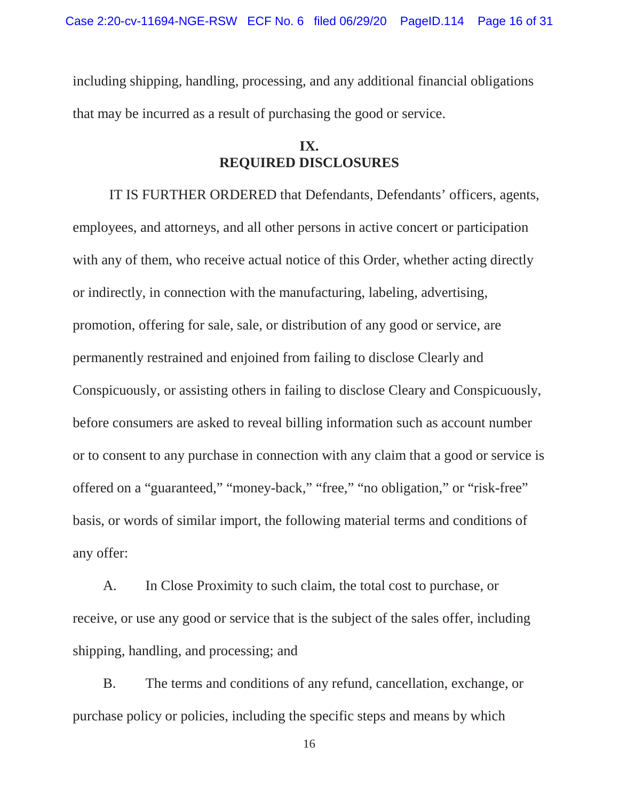including shipping, handling, processing, and any additional financial obligations that may be incurred as a result of purchasing the good or service.

# **IX. REQUIRED DISCLOSURES**

 with any of them, who receive actual notice of this Order, whether acting directly before consumers are asked to reveal billing information such as account number or to consent to any purchase in connection with any claim that a good or service is IT IS FURTHER ORDERED that Defendants, Defendants' officers, agents, employees, and attorneys, and all other persons in active concert or participation or indirectly, in connection with the manufacturing, labeling, advertising, promotion, offering for sale, sale, or distribution of any good or service, are permanently restrained and enjoined from failing to disclose Clearly and Conspicuously, or assisting others in failing to disclose Cleary and Conspicuously, offered on a "guaranteed," "money-back," "free," "no obligation," or "risk-free" basis, or words of similar import, the following material terms and conditions of any offer:

 A. In Close Proximity to such claim, the total cost to purchase, or receive, or use any good or service that is the subject of the sales offer, including shipping, handling, and processing; and

 purchase policy or policies, including the specific steps and means by which B. The terms and conditions of any refund, cancellation, exchange, or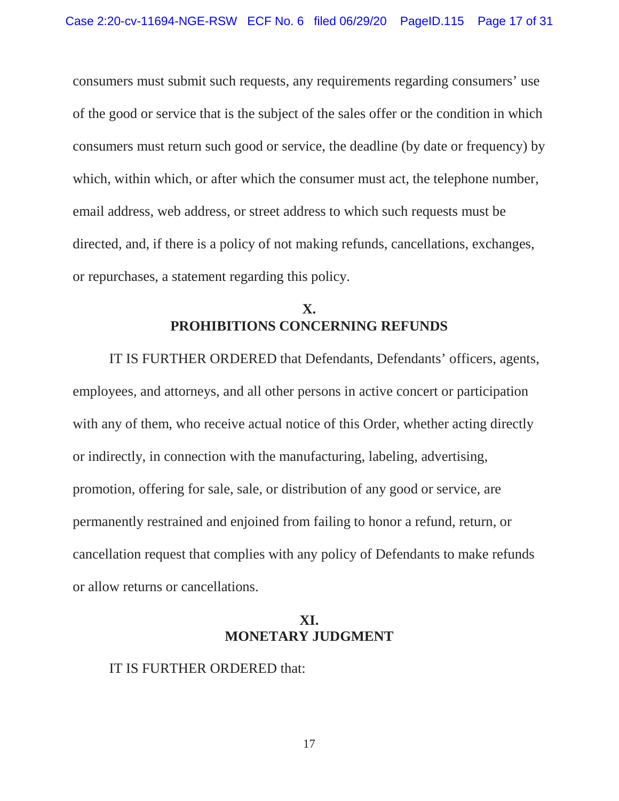consumers must submit such requests, any requirements regarding consumers' use of the good or service that is the subject of the sales offer or the condition in which consumers must return such good or service, the deadline (by date or frequency) by which, within which, or after which the consumer must act, the telephone number, email address, web address, or street address to which such requests must be directed, and, if there is a policy of not making refunds, cancellations, exchanges, or repurchases, a statement regarding this policy.

# **X. PROHIBITIONS CONCERNING REFUNDS**

 with any of them, who receive actual notice of this Order, whether acting directly cancellation request that complies with any policy of Defendants to make refunds IT IS FURTHER ORDERED that Defendants, Defendants' officers, agents, employees, and attorneys, and all other persons in active concert or participation or indirectly, in connection with the manufacturing, labeling, advertising, promotion, offering for sale, sale, or distribution of any good or service, are permanently restrained and enjoined from failing to honor a refund, return, or or allow returns or cancellations.

# **XI. MONETARY JUDGMENT**

#### IT IS FURTHER ORDERED that: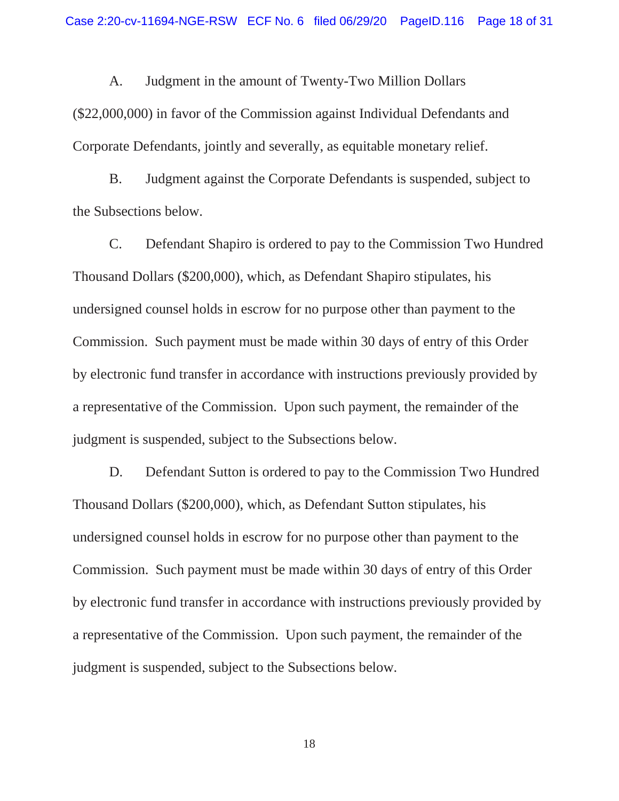A. Judgment in the amount of Twenty-Two Million Dollars

(\$22,000,000) in favor of the Commission against Individual Defendants and Corporate Defendants, jointly and severally, as equitable monetary relief.

B. Judgment against the Corporate Defendants is suspended, subject to the Subsections below.

C. Defendant Shapiro is ordered to pay to the Commission Two Hundred Thousand Dollars (\$200,000), which, as Defendant Shapiro stipulates, his undersigned counsel holds in escrow for no purpose other than payment to the Commission. Such payment must be made within 30 days of entry of this Order by electronic fund transfer in accordance with instructions previously provided by a representative of the Commission. Upon such payment, the remainder of the judgment is suspended, subject to the Subsections below.

D. Defendant Sutton is ordered to pay to the Commission Two Hundred Thousand Dollars (\$200,000), which, as Defendant Sutton stipulates, his undersigned counsel holds in escrow for no purpose other than payment to the Commission. Such payment must be made within 30 days of entry of this Order by electronic fund transfer in accordance with instructions previously provided by a representative of the Commission. Upon such payment, the remainder of the judgment is suspended, subject to the Subsections below.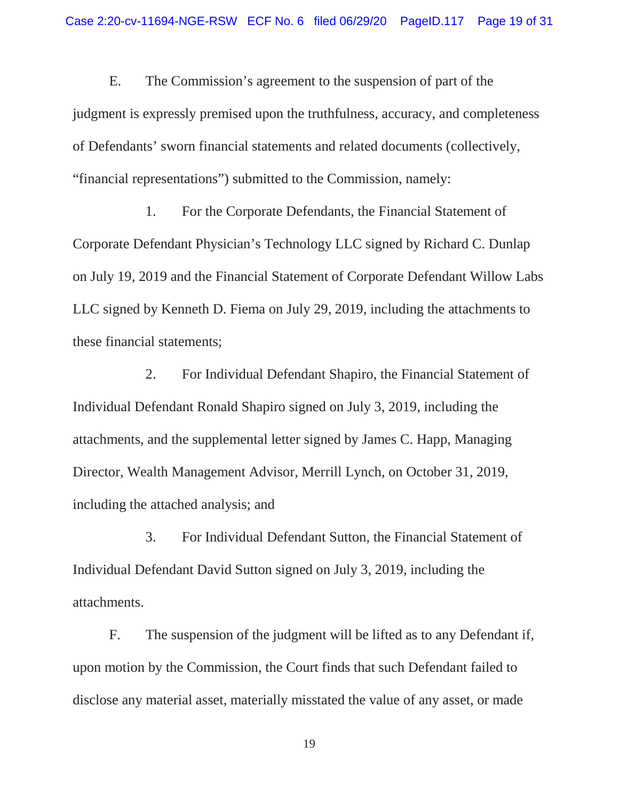E. The Commission's agreement to the suspension of part of the judgment is expressly premised upon the truthfulness, accuracy, and completeness of Defendants' sworn financial statements and related documents (collectively, "financial representations") submitted to the Commission, namely:

1. For the Corporate Defendants, the Financial Statement of Corporate Defendant Physician's Technology LLC signed by Richard C. Dunlap on July 19, 2019 and the Financial Statement of Corporate Defendant Willow Labs LLC signed by Kenneth D. Fiema on July 29, 2019, including the attachments to these financial statements;

2. For Individual Defendant Shapiro, the Financial Statement of Individual Defendant Ronald Shapiro signed on July 3, 2019, including the attachments, and the supplemental letter signed by James C. Happ, Managing Director, Wealth Management Advisor, Merrill Lynch, on October 31, 2019, including the attached analysis; and

3. For Individual Defendant Sutton, the Financial Statement of Individual Defendant David Sutton signed on July 3, 2019, including the attachments.

F. The suspension of the judgment will be lifted as to any Defendant if, upon motion by the Commission, the Court finds that such Defendant failed to disclose any material asset, materially misstated the value of any asset, or made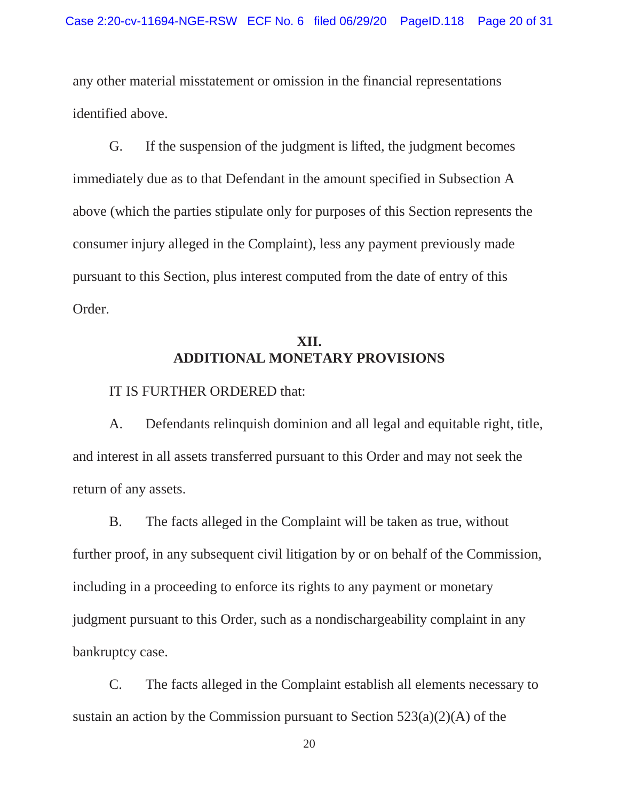any other material misstatement or omission in the financial representations identified above.

 consumer injury alleged in the Complaint), less any payment previously made G. If the suspension of the judgment is lifted, the judgment becomes immediately due as to that Defendant in the amount specified in Subsection A above (which the parties stipulate only for purposes of this Section represents the pursuant to this Section, plus interest computed from the date of entry of this Order.

# **XII. ADDITIONAL MONETARY PROVISIONS**

IT IS FURTHER ORDERED that:

A. Defendants relinquish dominion and all legal and equitable right, title, and interest in all assets transferred pursuant to this Order and may not seek the return of any assets.

 including in a proceeding to enforce its rights to any payment or monetary B. The facts alleged in the Complaint will be taken as true, without further proof, in any subsequent civil litigation by or on behalf of the Commission, judgment pursuant to this Order, such as a nondischargeability complaint in any bankruptcy case.

C. The facts alleged in the Complaint establish all elements necessary to sustain an action by the Commission pursuant to Section  $523(a)(2)(A)$  of the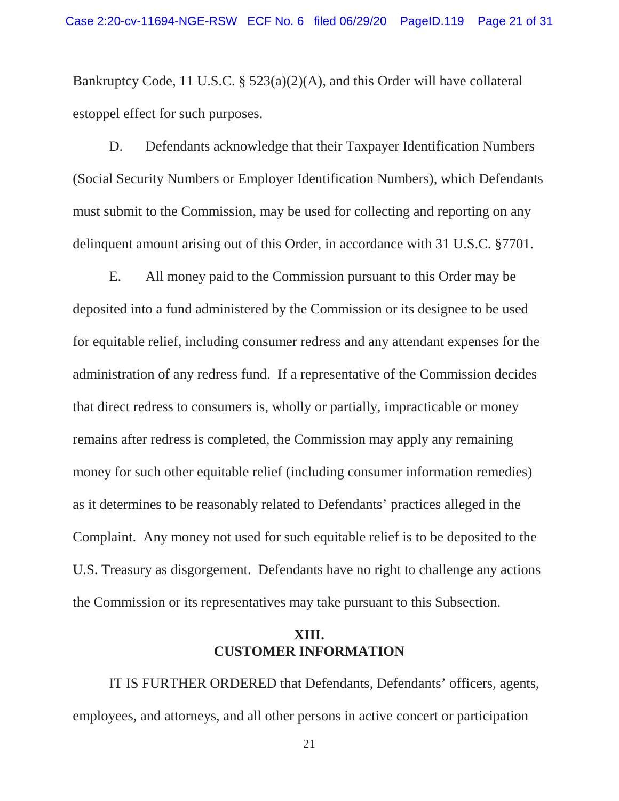Bankruptcy Code, 11 U.S.C. § 523(a)(2)(A), and this Order will have collateral estoppel effect for such purposes.

D. Defendants acknowledge that their Taxpayer Identification Numbers (Social Security Numbers or Employer Identification Numbers), which Defendants must submit to the Commission, may be used for collecting and reporting on any delinquent amount arising out of this Order, in accordance with 31 U.S.C. §7701.

 E. All money paid to the Commission pursuant to this Order may be deposited into a fund administered by the Commission or its designee to be used for equitable relief, including consumer redress and any attendant expenses for the administration of any redress fund. If a representative of the Commission decides that direct redress to consumers is, wholly or partially, impracticable or money remains after redress is completed, the Commission may apply any remaining money for such other equitable relief (including consumer information remedies) as it determines to be reasonably related to Defendants' practices alleged in the Complaint. Any money not used for such equitable relief is to be deposited to the U.S. Treasury as disgorgement. Defendants have no right to challenge any actions the Commission or its representatives may take pursuant to this Subsection.

#### **XIII. CUSTOMER INFORMATION**

IT IS FURTHER ORDERED that Defendants, Defendants' officers, agents, employees, and attorneys, and all other persons in active concert or participation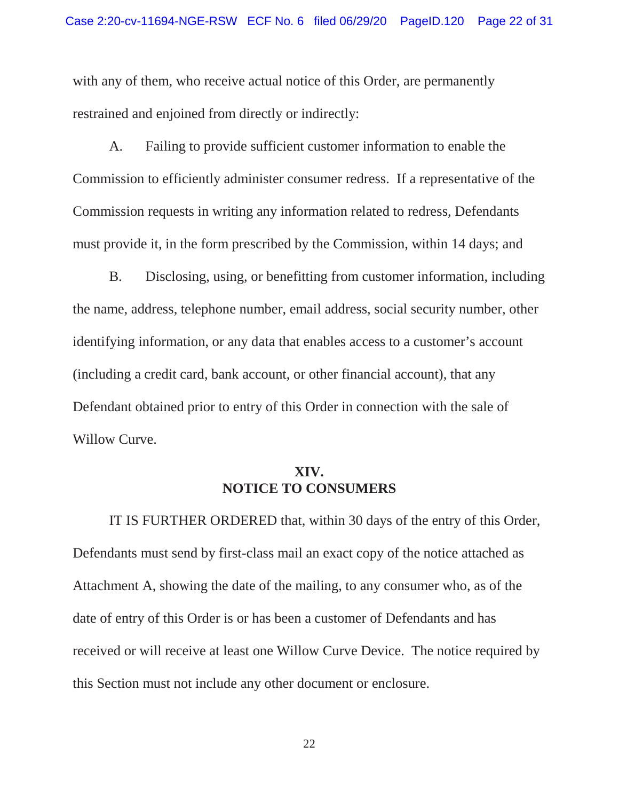with any of them, who receive actual notice of this Order, are permanently restrained and enjoined from directly or indirectly:

A. Failing to provide sufficient customer information to enable the Commission to efficiently administer consumer redress. If a representative of the Commission requests in writing any information related to redress, Defendants must provide it, in the form prescribed by the Commission, within 14 days; and

B. Disclosing, using, or benefitting from customer information, including the name, address, telephone number, email address, social security number, other identifying information, or any data that enables access to a customer's account (including a credit card, bank account, or other financial account), that any Defendant obtained prior to entry of this Order in connection with the sale of Willow Curve.

# **XIV. NOTICE TO CONSUMERS**

 received or will receive at least one Willow Curve Device. The notice required by IT IS FURTHER ORDERED that, within 30 days of the entry of this Order, Defendants must send by first-class mail an exact copy of the notice attached as Attachment A, showing the date of the mailing, to any consumer who, as of the date of entry of this Order is or has been a customer of Defendants and has this Section must not include any other document or enclosure.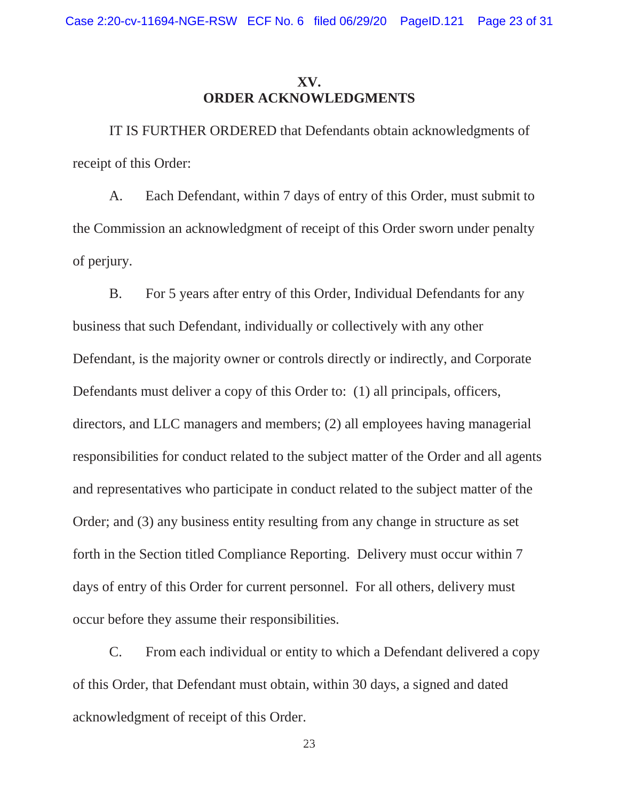# **XV. ORDER ACKNOWLEDGMENTS**

IT IS FURTHER ORDERED that Defendants obtain acknowledgments of receipt of this Order:

A. Each Defendant, within 7 days of entry of this Order, must submit to the Commission an acknowledgment of receipt of this Order sworn under penalty of perjury.

 Defendants must deliver a copy of this Order to: (1) all principals, officers, forth in the Section titled Compliance Reporting. Delivery must occur within 7 B. For 5 years after entry of this Order, Individual Defendants for any business that such Defendant, individually or collectively with any other Defendant, is the majority owner or controls directly or indirectly, and Corporate directors, and LLC managers and members; (2) all employees having managerial responsibilities for conduct related to the subject matter of the Order and all agents and representatives who participate in conduct related to the subject matter of the Order; and (3) any business entity resulting from any change in structure as set days of entry of this Order for current personnel. For all others, delivery must occur before they assume their responsibilities.

 of this Order, that Defendant must obtain, within 30 days, a signed and dated C. From each individual or entity to which a Defendant delivered a copy acknowledgment of receipt of this Order.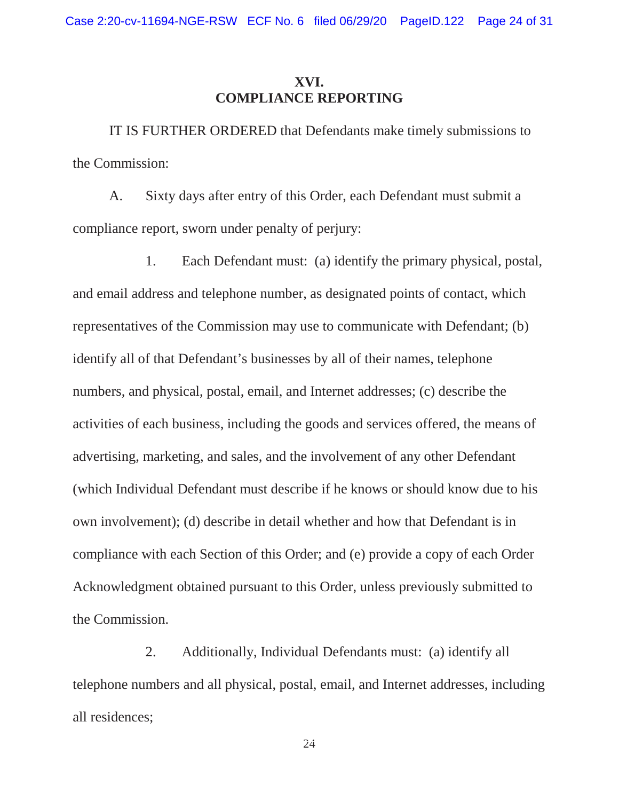# **XVI. COMPLIANCE REPORTING**

IT IS FURTHER ORDERED that Defendants make timely submissions to the Commission:

A. Sixty days after entry of this Order, each Defendant must submit a compliance report, sworn under penalty of perjury:

1. Each Defendant must: (a) identify the primary physical, postal, and email address and telephone number, as designated points of contact, which representatives of the Commission may use to communicate with Defendant; (b) identify all of that Defendant's businesses by all of their names, telephone numbers, and physical, postal, email, and Internet addresses; (c) describe the activities of each business, including the goods and services offered, the means of advertising, marketing, and sales, and the involvement of any other Defendant (which Individual Defendant must describe if he knows or should know due to his own involvement); (d) describe in detail whether and how that Defendant is in compliance with each Section of this Order; and (e) provide a copy of each Order Acknowledgment obtained pursuant to this Order, unless previously submitted to the Commission.

2. Additionally, Individual Defendants must: (a) identify all telephone numbers and all physical, postal, email, and Internet addresses, including all residences;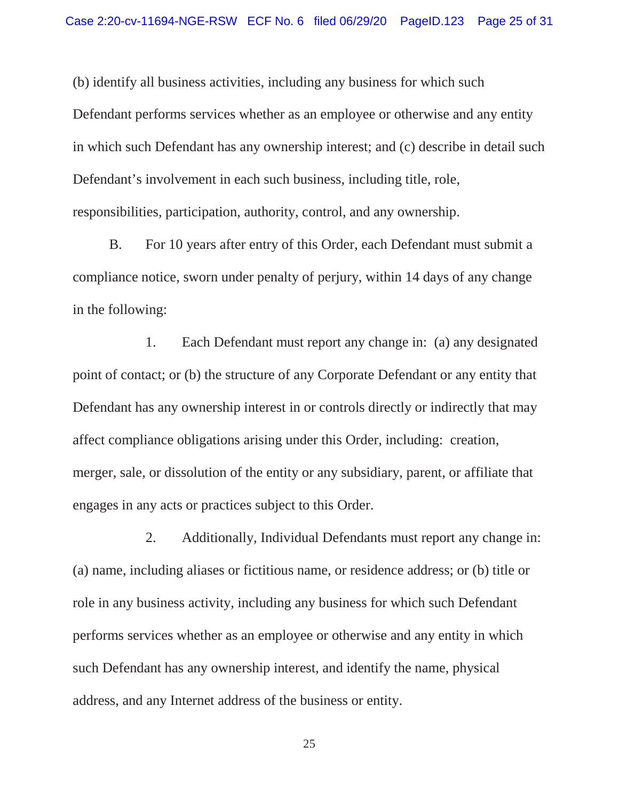(b) identify all business activities, including any business for which such Defendant performs services whether as an employee or otherwise and any entity in which such Defendant has any ownership interest; and (c) describe in detail such Defendant's involvement in each such business, including title, role, responsibilities, participation, authority, control, and any ownership.

B. For 10 years after entry of this Order, each Defendant must submit a compliance notice, sworn under penalty of perjury, within 14 days of any change in the following:

1. Each Defendant must report any change in: (a) any designated point of contact; or (b) the structure of any Corporate Defendant or any entity that Defendant has any ownership interest in or controls directly or indirectly that may affect compliance obligations arising under this Order, including: creation, merger, sale, or dissolution of the entity or any subsidiary, parent, or affiliate that engages in any acts or practices subject to this Order.

2. Additionally, Individual Defendants must report any change in: (a) name, including aliases or fictitious name, or residence address; or (b) title or role in any business activity, including any business for which such Defendant performs services whether as an employee or otherwise and any entity in which such Defendant has any ownership interest, and identify the name, physical address, and any Internet address of the business or entity.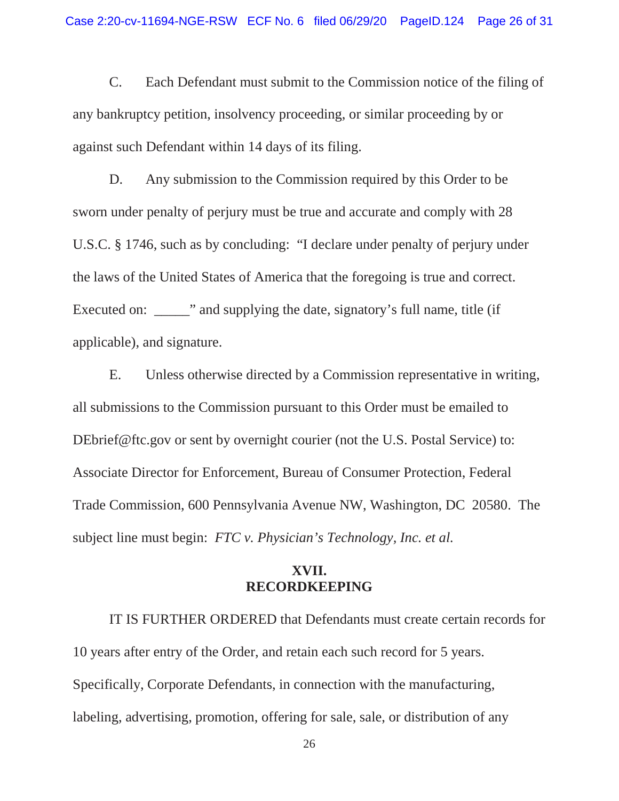C. Each Defendant must submit to the Commission notice of the filing of any bankruptcy petition, insolvency proceeding, or similar proceeding by or against such Defendant within 14 days of its filing.

D. Any submission to the Commission required by this Order to be sworn under penalty of perjury must be true and accurate and comply with 28 U.S.C. § 1746, such as by concluding: "I declare under penalty of perjury under the laws of the United States of America that the foregoing is true and correct. Executed on:  $\cdots$  and supplying the date, signatory's full name, title (if applicable), and signature.

E. Unless otherwise directed by a Commission representative in writing, all submissions to the Commission pursuant to this Order must be emailed to DEbrief@ftc.gov or sent by overnight courier (not the U.S. Postal Service) to: Associate Director for Enforcement, Bureau of Consumer Protection, Federal Trade Commission, 600 Pennsylvania Avenue NW, Washington, DC 20580. The subject line must begin: *FTC v. Physician's Technology, Inc. et al.* 

#### **XVII. RECORDKEEPING**

IT IS FURTHER ORDERED that Defendants must create certain records for 10 years after entry of the Order, and retain each such record for 5 years. Specifically, Corporate Defendants, in connection with the manufacturing, labeling, advertising, promotion, offering for sale, sale, or distribution of any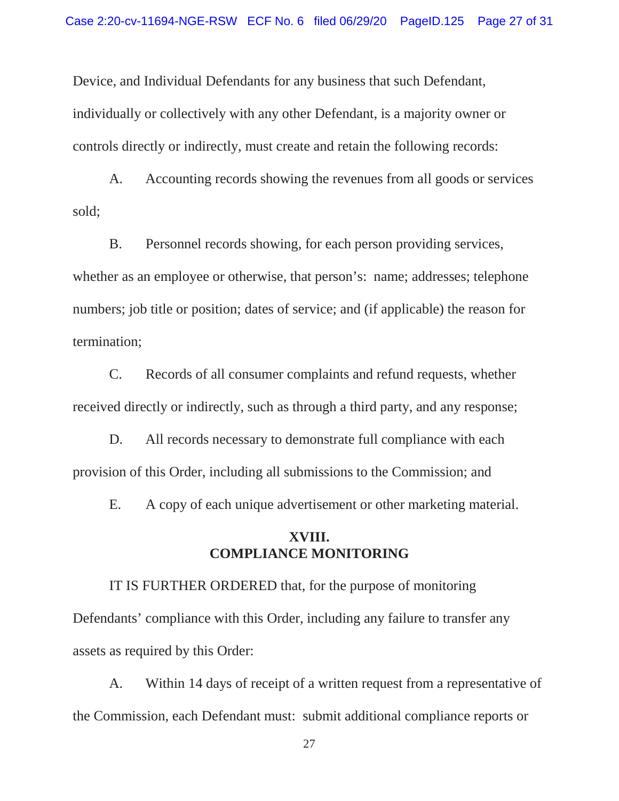Device, and Individual Defendants for any business that such Defendant, individually or collectively with any other Defendant, is a majority owner or controls directly or indirectly, must create and retain the following records:

A. Accounting records showing the revenues from all goods or services sold;

 whether as an employee or otherwise, that person's: name; addresses; telephone B. Personnel records showing, for each person providing services, numbers; job title or position; dates of service; and (if applicable) the reason for termination;

C. Records of all consumer complaints and refund requests, whether received directly or indirectly, such as through a third party, and any response;

D. All records necessary to demonstrate full compliance with each provision of this Order, including all submissions to the Commission; and

E. A copy of each unique advertisement or other marketing material.

#### **XVIII. COMPLIANCE MONITORING**

IT IS FURTHER ORDERED that, for the purpose of monitoring Defendants' compliance with this Order, including any failure to transfer any assets as required by this Order:

A. Within 14 days of receipt of a written request from a representative of the Commission, each Defendant must: submit additional compliance reports or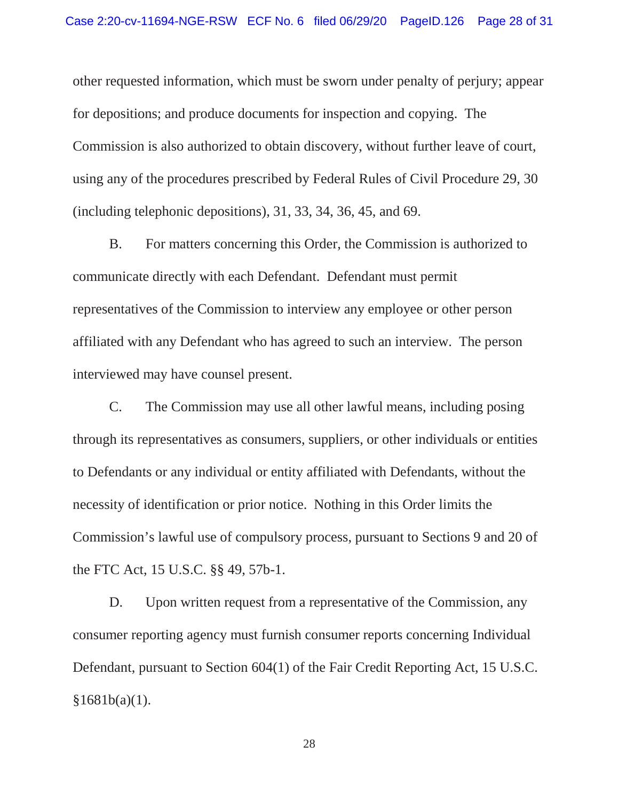Commission is also authorized to obtain discovery, without further leave of court, using any of the procedures prescribed by Federal Rules of Civil Procedure 29, 30 (including telephonic depositions), 31, 33, 34, 36, 45, and 69. other requested information, which must be sworn under penalty of perjury; appear for depositions; and produce documents for inspection and copying. The

B. For matters concerning this Order, the Commission is authorized to communicate directly with each Defendant. Defendant must permit representatives of the Commission to interview any employee or other person affiliated with any Defendant who has agreed to such an interview. The person interviewed may have counsel present.

 Commission's lawful use of compulsory process, pursuant to Sections 9 and 20 of the FTC Act, 15 U.S.C. §§ 49, 57b-1. C. The Commission may use all other lawful means, including posing through its representatives as consumers, suppliers, or other individuals or entities to Defendants or any individual or entity affiliated with Defendants, without the necessity of identification or prior notice. Nothing in this Order limits the

 Defendant, pursuant to Section 604(1) of the Fair Credit Reporting Act, 15 U.S.C. D. Upon written request from a representative of the Commission, any consumer reporting agency must furnish consumer reports concerning Individual  $§1681b(a)(1)$ .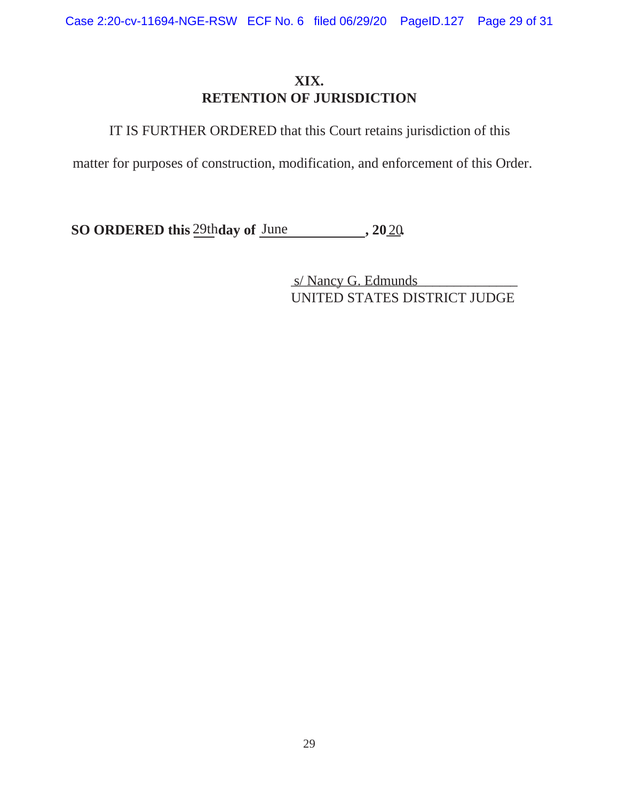# **XIX. RETENTION OF JURISDICTION**

IT IS FURTHER ORDERED that this Court retains jurisdiction of this

matter for purposes of construction, modification, and enforcement of this Order.

**SO ORDERED this** 29th day of June , 2020

s/ Nancy G. Edmunds UNITED STATES DISTRICT JUDGE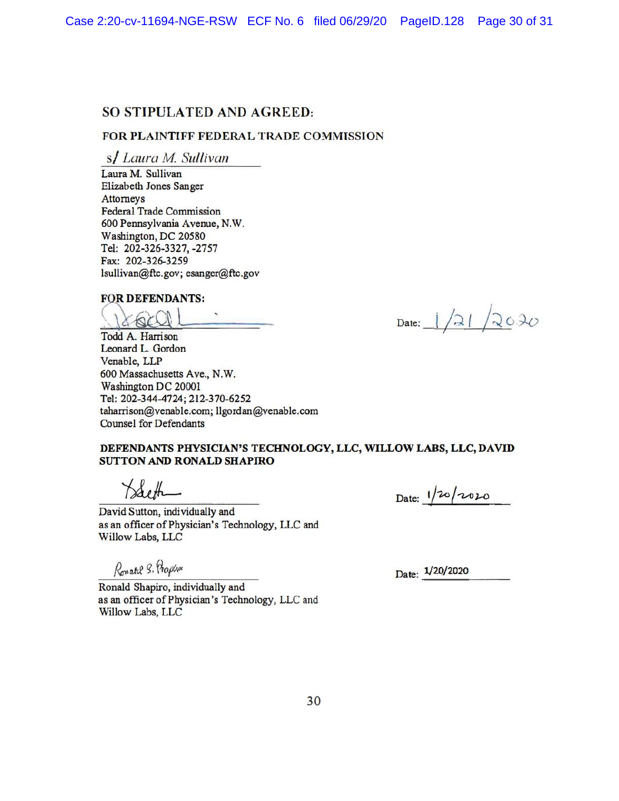#### SO STIPULATED AND AGREED:

#### FOR **PLAINTIFF** FEDERAL TRADE COMMISSION

s/ *Laura M Sullivan* 

Laura M. Sullivan Elizabeth Jones Sanger Attorneys Federal Trade Commission 600 Pennsylvania Avenue, N.W. Washington, DC 20580 Tel: 202-326-3327, -2757 Fax: 202-326-3259 lsullivan@ftc.gov; esanger@ftc.gov

#### **FOR DEFENDANTS:**

<u>18601 - Date: 1/21/2020</u>

Todd A. Harrison Leonard L. Gordon Venable, LLP 600 Massachusetts Ave., N.W. Washington DC 20001 Tel: 202-344-4724; 212-370-6252 taharrison@venable.com; llgordan@venable.com Counsel for Defendants

#### **DEFENDANTS PHYSICIAN'S TECHNOLOGY, LLC, WILLOW LABS, LLC, DAVID SUTTON AND RONALD SHAPIRO**

 $\lambda$ both

David Sutton, individually and as an officer of Physician's Technology, LLC and Willow Labs, LLC

Ronald S. Propla

Date:  $1/20/2010$ 

Date:  $1/20/2020$ 

Ronald Shapiro, individually and as an officer of Physician's Technology, LLC and Willow Labs, LLC